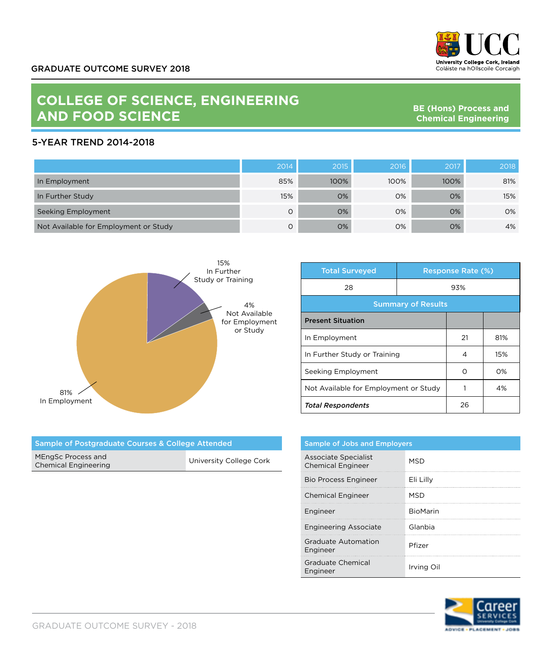

## **COLLEGE OF SCIENCE, ENGINEERING AND FOOD SCIENCE**

**BE (Hons) Process and Chemical Engineering**

## 5-YEAR TREND 2014-2018

|                                       | 2014 | 2015 | 2016 | 2017 | 2018 |
|---------------------------------------|------|------|------|------|------|
| In Employment                         | 85%  | 100% | 100% | 100% | 81%  |
| In Further Study                      | 15%  | 0%   | 0%   | 0%   | 15%  |
| Seeking Employment                    | O    | 0%   | 0%   | 0%   | 0%   |
| Not Available for Employment or Study | O    | 0%   | 0%   | 0%   | 4%   |



| <b>Total Surveyed</b>                 |  | <b>Response Rate (%)</b> |     |  |
|---------------------------------------|--|--------------------------|-----|--|
| 28                                    |  | 93%                      |     |  |
| <b>Summary of Results</b>             |  |                          |     |  |
| <b>Present Situation</b>              |  |                          |     |  |
| In Employment                         |  | 21                       | 81% |  |
| In Further Study or Training          |  | 4                        | 15% |  |
| Seeking Employment                    |  | Ω                        | O%  |  |
| Not Available for Employment or Study |  |                          | 4%  |  |
| <b>Total Respondents</b>              |  | 26                       |     |  |

| Sample of Postgraduate Courses & College Attended |                         |  |
|---------------------------------------------------|-------------------------|--|
| MEngSc Process and<br><b>Chemical Engineering</b> | University College Cork |  |

| <b>Sample of Jobs and Employers</b>              |            |
|--------------------------------------------------|------------|
| Associate Specialist<br><b>Chemical Engineer</b> | <b>MSD</b> |
| <b>Bio Process Engineer</b>                      | Eli Lilly  |
| <b>Chemical Engineer</b>                         | <b>MSD</b> |
| Engineer                                         | BioMarin   |
| <b>Engineering Associate</b>                     | Glanbia    |
| Graduate Automation<br>Engineer                  | Pfizer     |
| <b>Graduate Chemical</b><br>Engineer             | Irvina Oil |